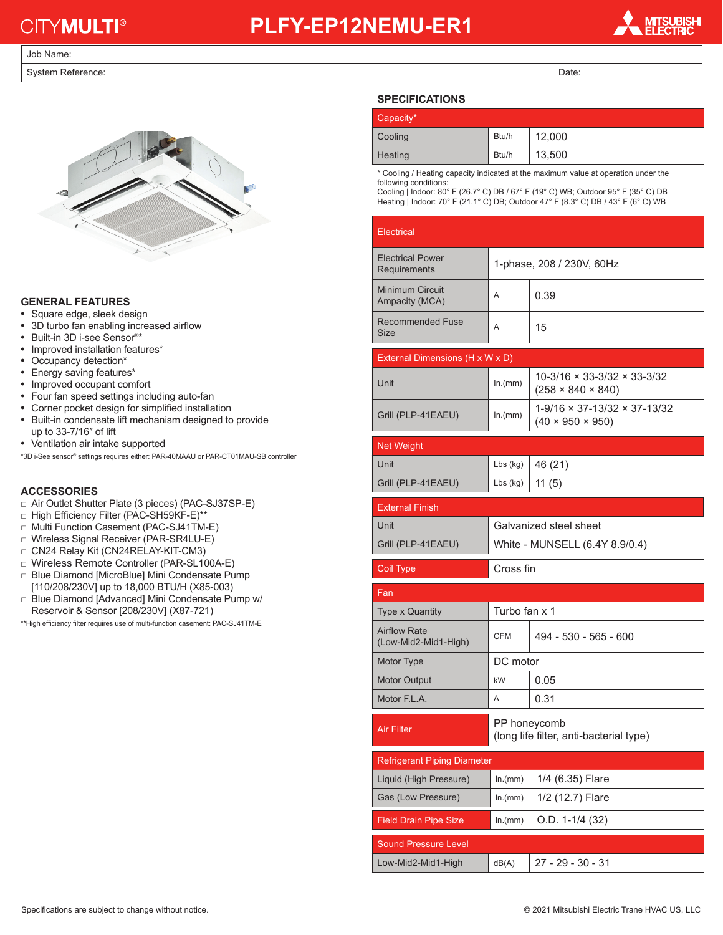# **CITYMULTI®**

### **PLFY-EP12NEMU-ER1**

#### Job Name:

System Reference: Date: Date: Date: Date: Date: Date: Date: Date: Date: Date: Date: Date: Date: Date: Date: Date: Date: Date: Date: Date: Date: Date: Date: Date: Date: Date: Date: Date: Date: Date: Date: Date: Date: Date:



### **GENERAL FEATURES**

- **•** Square edge, sleek design
- **•** 3D turbo fan enabling increased airflow
- **•** Built-in 3D i-see Sensor®\*
- **•** Improved installation features\*
- **•** Occupancy detection\*
- **•** Energy saving features\*
- **•** Improved occupant comfort
- **•** Four fan speed settings including auto-fan
- **•** Corner pocket design for simplified installation
- **•** Built-in condensate lift mechanism designed to provide up to 33-7/16″ of lift
- **•** Ventilation air intake supported

\*3D i-See sensor® settings requires either: PAR-40MAAU or PAR-CT01MAU-SB controller

#### **ACCESSORIES**

- □ Air Outlet Shutter Plate (3 pieces) (PAC-SJ37SP-E)
- □ High Efficiency Filter (PAC-SH59KF-E)\*\*
- □ Multi Function Casement (PAC-SJ41TM-E)
- □ Wireless Signal Receiver (PAR-SR4LU-E)
- □ CN24 Relay Kit (CN24RELAY-KIT-CM3)
- □ Wireless Remote Controller (PAR-SL100A-E)
- □ Blue Diamond [MicroBlue] Mini Condensate Pump
- [110/208/230V] up to 18,000 BTU/H (X85-003) □ Blue Diamond [Advanced] Mini Condensate Pump w/ Reservoir & Sensor [208/230V] (X87-721)

\*\*High efficiency filter requires use of multi-function casement: PAC-SJ41TM-E

#### **SPECIFICATIONS**

| Capacity* |       |        |
|-----------|-------|--------|
| Cooling   | Btu/h | 12,000 |
| Heating   | Btu/h | 13,500 |

\* Cooling / Heating capacity indicated at the maximum value at operation under the following conditions:

Cooling | Indoor: 80° F (26.7° C) DB / 67° F (19° C) WB; Outdoor 95° F (35° C) DB Heating | Indoor: 70° F (21.1° C) DB; Outdoor 47° F (8.3° C) DB / 43° F (6° C) WB

| <b>Electrical</b>                           |                                |                                                                                |  |  |
|---------------------------------------------|--------------------------------|--------------------------------------------------------------------------------|--|--|
| <b>Electrical Power</b><br>Requirements     | 1-phase, 208 / 230V, 60Hz      |                                                                                |  |  |
| <b>Minimum Circuit</b><br>Ampacity (MCA)    | A                              | 0.39                                                                           |  |  |
| <b>Recommended Fuse</b><br>Size             | A                              | 15                                                                             |  |  |
| External Dimensions (H x W x D)             |                                |                                                                                |  |  |
| Unit                                        | ln.(mm)                        | 10-3/16 × 33-3/32 × 33-3/32<br>$(258 \times 840 \times 840)$                   |  |  |
| Grill (PLP-41EAEU)                          | ln.(mm)                        | $1 - 9/16 \times 37 - 13/32 \times 37 - 13/32$<br>$(40 \times 950 \times 950)$ |  |  |
| <b>Net Weight</b>                           |                                |                                                                                |  |  |
| Unit                                        | $Lbs$ (kg)                     | 46 (21)                                                                        |  |  |
| Grill (PLP-41EAEU)                          | $Lbs$ (kg)                     | 11(5)                                                                          |  |  |
| <b>External Finish</b>                      |                                |                                                                                |  |  |
| Unit                                        | Galvanized steel sheet         |                                                                                |  |  |
|                                             | White - MUNSELL (6.4Y 8.9/0.4) |                                                                                |  |  |
| Grill (PLP-41EAEU)                          |                                |                                                                                |  |  |
| Coil Type                                   | Cross fin                      |                                                                                |  |  |
| Fan                                         |                                |                                                                                |  |  |
| <b>Type x Quantity</b>                      | Turbo fan x 1                  |                                                                                |  |  |
| <b>Airflow Rate</b><br>(Low-Mid2-Mid1-High) | <b>CFM</b>                     | 494 - 530 - 565 - 600                                                          |  |  |
| Motor Type                                  | DC motor                       |                                                                                |  |  |
| <b>Motor Output</b>                         | kW                             | 0.05                                                                           |  |  |
| Motor F.L.A.                                | A                              | 0.31                                                                           |  |  |
| <b>Air Filter</b>                           |                                | PP honeycomb<br>(long life filter, anti-bacterial type)                        |  |  |
| <b>Refrigerant Piping Diameter</b>          |                                |                                                                                |  |  |
| Liquid (High Pressure)                      | ln.(mm)                        | 1/4 (6.35) Flare                                                               |  |  |
| Gas (Low Pressure)                          | ln.(mm)                        | 1/2 (12.7) Flare                                                               |  |  |
| <b>Field Drain Pipe Size</b>                | ln.(mm)                        | O.D. 1-1/4 (32)                                                                |  |  |
| Sound Pressure Level                        |                                |                                                                                |  |  |